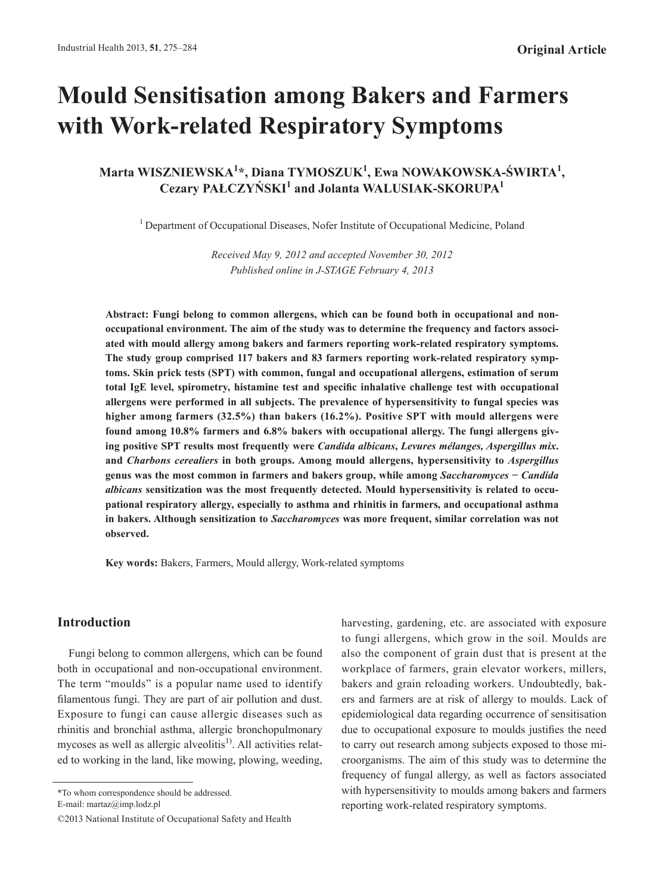# **Mould Sensitisation among Bakers and Farmers with Work-related Respiratory Symptoms**

**Marta WISZNIEWSKA<sup>1</sup> \*, Diana TYMOSZUK<sup>1</sup> , Ewa NOWAKOWSKA-ŚWIRTA<sup>1</sup> , Cezary PAŁCZYŃSKI<sup>1</sup> and Jolanta WALUSIAK-SKORUPA<sup>1</sup>**

<sup>1</sup> Department of Occupational Diseases, Nofer Institute of Occupational Medicine, Poland

*Received May 9, 2012 and accepted November 30, 2012 Published online in J-STAGE February 4, 2013*

**Abstract: Fungi belong to common allergens, which can be found both in occupational and nonoccupational environment. The aim of the study was to determine the frequency and factors associated with mould allergy among bakers and farmers reporting work-related respiratory symptoms. The study group comprised 117 bakers and 83 farmers reporting work-related respiratory symptoms. Skin prick tests (SPT) with common, fungal and occupational allergens, estimation of serum total IgE level, spirometry, histamine test and specific inhalative challenge test with occupational allergens were performed in all subjects. The prevalence of hypersensitivity to fungal species was higher among farmers (32.5%) than bakers (16.2%). Positive SPT with mould allergens were found among 10.8% farmers and 6.8% bakers with occupational allergy. The fungi allergens giving positive SPT results most frequently were** *Candida albicans***,** *Levures mélanges, Aspergillus mix***. and** *Charbons cerealiers* **in both groups. Among mould allergens, hypersensitivity to** *Aspergillus* **genus was the most common in farmers and bakers group, while among** *Saccharomyces* **−** *Candida albicans* **sensitization was the most frequently detected. Mould hypersensitivity is related to occupational respiratory allergy, especially to asthma and rhinitis in farmers, and occupational asthma in bakers. Although sensitization to** *Saccharomyces* **was more frequent, similar correlation was not observed.**

**Key words:** Bakers, Farmers, Mould allergy, Work-related symptoms

# **Introduction**

Fungi belong to common allergens, which can be found both in occupational and non-occupational environment. The term "moulds" is a popular name used to identify filamentous fungi. They are part of air pollution and dust. Exposure to fungi can cause allergic diseases such as rhinitis and bronchial asthma, allergic bronchopulmonary mycoses as well as allergic alveolitis<sup>1)</sup>. All activities related to working in the land, like mowing, plowing, weeding,

harvesting, gardening, etc. are associated with exposure to fungi allergens, which grow in the soil. Moulds are also the component of grain dust that is present at the workplace of farmers, grain elevator workers, millers, bakers and grain reloading workers. Undoubtedly, bakers and farmers are at risk of allergy to moulds. Lack of epidemiological data regarding occurrence of sensitisation due to occupational exposure to moulds justifies the need to carry out research among subjects exposed to those microorganisms. The aim of this study was to determine the frequency of fungal allergy, as well as factors associated with hypersensitivity to moulds among bakers and farmers reporting work-related respiratory symptoms.

<sup>\*</sup>To whom correspondence should be addressed. E-mail: martaz@imp.lodz.pl

<sup>©2013</sup> National Institute of Occupational Safety and Health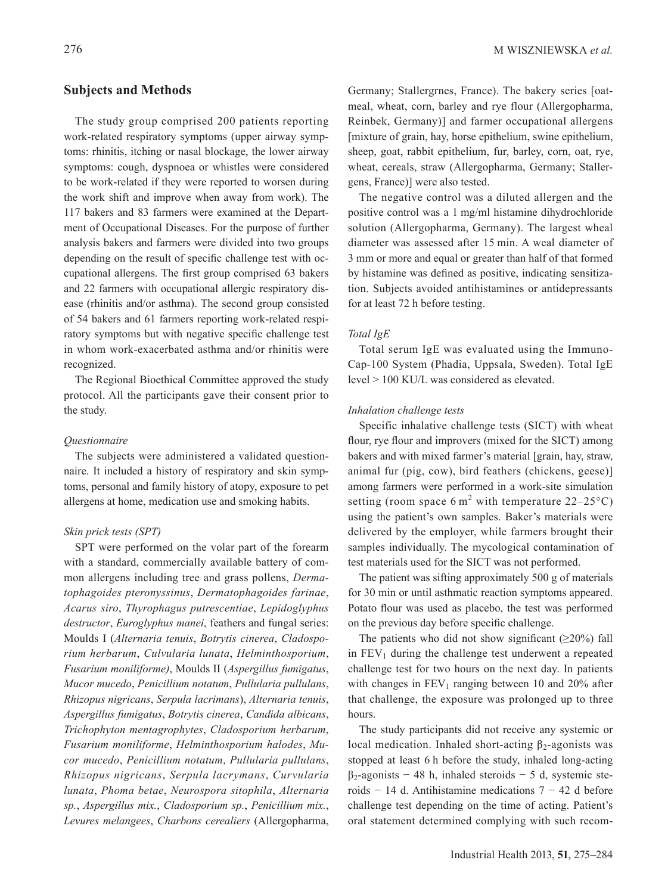# **Subjects and Methods**

The study group comprised 200 patients reporting work-related respiratory symptoms (upper airway symptoms: rhinitis, itching or nasal blockage, the lower airway symptoms: cough, dyspnoea or whistles were considered to be work-related if they were reported to worsen during the work shift and improve when away from work). The 117 bakers and 83 farmers were examined at the Department of Occupational Diseases. For the purpose of further analysis bakers and farmers were divided into two groups depending on the result of specific challenge test with occupational allergens. The first group comprised 63 bakers and 22 farmers with occupational allergic respiratory disease (rhinitis and/or asthma). The second group consisted of 54 bakers and 61 farmers reporting work-related respiratory symptoms but with negative specific challenge test in whom work-exacerbated asthma and/or rhinitis were recognized.

The Regional Bioethical Committee approved the study protocol. All the participants gave their consent prior to the study.

## *Questionnaire*

The subjects were administered a validated questionnaire. It included a history of respiratory and skin symptoms, personal and family history of atopy, exposure to pet allergens at home, medication use and smoking habits.

## *Skin prick tests (SPT)*

SPT were performed on the volar part of the forearm with a standard, commercially available battery of common allergens including tree and grass pollens, *Dermatophagoides pteronyssinus*, *Dermatophagoides farinae*, *Acarus siro*, *Thyrophagus putrescentiae*, *Lepidoglyphus destructor*, *Euroglyphus manei*, feathers and fungal series: Moulds I (*Alternaria tenuis*, *Botrytis cinerea*, *Cladosporium herbarum*, *Culvularia lunata*, *Helminthosporium*, *Fusarium moniliforme)*, Moulds II (*Aspergillus fumigatus*, *Mucor mucedo*, *Penicillium notatum*, *Pullularia pullulans*, *Rhizopus nigricans*, *Serpula lacrimans*), *Alternaria tenuis*, *Aspergillus fumigatus*, *Botrytis cinerea*, *Candida albicans*, *Trichophyton mentagrophytes*, *Cladosporium herbarum*, *Fusarium moniliforme*, *Helminthosporium halodes*, *Mucor mucedo*, *Penicillium notatum*, *Pullularia pullulans*, *Rhizopus nigricans*, *Serpula lacrymans*, *Curvularia lunata*, *Phoma betae*, *Neurospora sitophila*, *Alternaria sp.*, *Aspergillus mix.*, *Cladosporium sp.*, *Penicillium mix.*, *Levures melangees*, *Charbons cerealiers* (Allergopharma,

Germany; Stallergrnes, France). The bakery series [oatmeal, wheat, corn, barley and rye flour (Allergopharma, Reinbek, Germany)] and farmer occupational allergens [mixture of grain, hay, horse epithelium, swine epithelium, sheep, goat, rabbit epithelium, fur, barley, corn, oat, rye, wheat, cereals, straw (Allergopharma, Germany; Stallergens, France)] were also tested.

The negative control was a diluted allergen and the positive control was a 1 mg/ml histamine dihydrochloride solution (Allergopharma, Germany). The largest wheal diameter was assessed after 15 min. A weal diameter of 3 mm or more and equal or greater than half of that formed by histamine was defined as positive, indicating sensitization. Subjects avoided antihistamines or antidepressants for at least 72 h before testing.

## *Total IgE*

Total serum IgE was evaluated using the Immuno-Cap-100 System (Phadia, Uppsala, Sweden). Total IgE level > 100 KU/L was considered as elevated.

## *Inhalation challenge tests*

Specific inhalative challenge tests (SICT) with wheat flour, rye flour and improvers (mixed for the SICT) among bakers and with mixed farmer's material [grain, hay, straw, animal fur (pig, cow), bird feathers (chickens, geese)] among farmers were performed in a work-site simulation setting (room space 6 m<sup>2</sup> with temperature 22–25 $^{\circ}$ C) using the patient's own samples. Baker's materials were delivered by the employer, while farmers brought their samples individually. The mycological contamination of test materials used for the SICT was not performed.

The patient was sifting approximately 500 g of materials for 30 min or until asthmatic reaction symptoms appeared. Potato flour was used as placebo, the test was performed on the previous day before specific challenge.

The patients who did not show significant  $(\geq 20\%)$  fall in  $FEV<sub>1</sub>$  during the challenge test underwent a repeated challenge test for two hours on the next day. In patients with changes in  $FEV_1$  ranging between 10 and 20% after that challenge, the exposure was prolonged up to three hours.

The study participants did not receive any systemic or local medication. Inhaled short-acting  $β_2$ -agonists was stopped at least 6 h before the study, inhaled long-acting  $\beta_2$ -agonists − 48 h, inhaled steroids − 5 d, systemic steroids − 14 d. Antihistamine medications 7 − 42 d before challenge test depending on the time of acting. Patient's oral statement determined complying with such recom-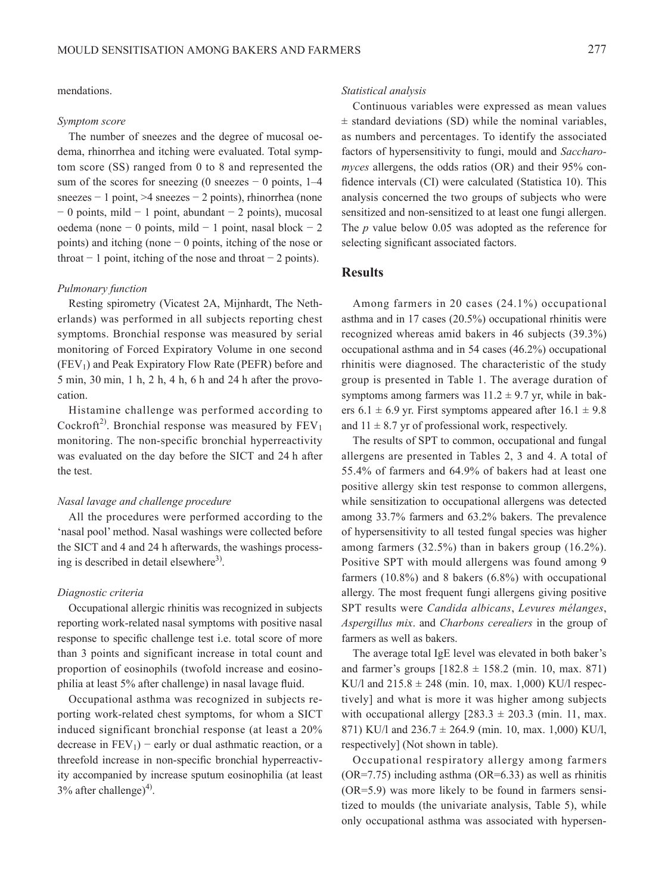## mendations.

#### *Symptom score*

The number of sneezes and the degree of mucosal oedema, rhinorrhea and itching were evaluated. Total symptom score (SS) ranged from 0 to 8 and represented the sum of the scores for sneezing (0 sneezes  $-$  0 points, 1–4 sneezes − 1 point, >4 sneezes − 2 points), rhinorrhea (none − 0 points, mild − 1 point, abundant − 2 points), mucosal oedema (none − 0 points, mild − 1 point, nasal block − 2 points) and itching (none − 0 points, itching of the nose or throat  $-1$  point, itching of the nose and throat  $-2$  points).

#### *Pulmonary function*

Resting spirometry (Vicatest 2A, Mijnhardt, The Netherlands) was performed in all subjects reporting chest symptoms. Bronchial response was measured by serial monitoring of Forced Expiratory Volume in one second  $(FEV<sub>1</sub>)$  and Peak Expiratory Flow Rate (PEFR) before and 5 min, 30 min, 1 h, 2 h, 4 h, 6 h and 24 h after the provocation.

Histamine challenge was performed according to Cockroft<sup>2)</sup>. Bronchial response was measured by  $FEV<sub>1</sub>$ monitoring. The non-specific bronchial hyperreactivity was evaluated on the day before the SICT and 24 h after the test.

## *Nasal lavage and challenge procedure*

All the procedures were performed according to the 'nasal pool' method. Nasal washings were collected before the SICT and 4 and 24 h afterwards, the washings processing is described in detail elsewhere $3$ .

#### *Diagnostic criteria*

Occupational allergic rhinitis was recognized in subjects reporting work-related nasal symptoms with positive nasal response to specific challenge test i.e. total score of more than 3 points and significant increase in total count and proportion of eosinophils (twofold increase and eosinophilia at least 5% after challenge) in nasal lavage fluid.

Occupational asthma was recognized in subjects reporting work-related chest symptoms, for whom a SICT induced significant bronchial response (at least a 20% decrease in  $FEV_1$ ) – early or dual asthmatic reaction, or a threefold increase in non-specific bronchial hyperreactivity accompanied by increase sputum eosinophilia (at least  $3\%$  after challenge)<sup>4)</sup>.

#### *Statistical analysis*

Continuous variables were expressed as mean values  $\pm$  standard deviations (SD) while the nominal variables, as numbers and percentages. To identify the associated factors of hypersensitivity to fungi, mould and *Saccharomyces* allergens, the odds ratios (OR) and their 95% confidence intervals (CI) were calculated (Statistica 10). This analysis concerned the two groups of subjects who were sensitized and non-sensitized to at least one fungi allergen. The *p* value below 0.05 was adopted as the reference for selecting significant associated factors.

# **Results**

Among farmers in 20 cases (24.1%) occupational asthma and in 17 cases (20.5%) occupational rhinitis were recognized whereas amid bakers in 46 subjects (39.3%) occupational asthma and in 54 cases (46.2%) occupational rhinitis were diagnosed. The characteristic of the study group is presented in Table 1. The average duration of symptoms among farmers was  $11.2 \pm 9.7$  yr, while in bakers 6.1  $\pm$  6.9 yr. First symptoms appeared after 16.1  $\pm$  9.8 and  $11 \pm 8.7$  yr of professional work, respectively.

The results of SPT to common, occupational and fungal allergens are presented in Tables 2, 3 and 4. A total of 55.4% of farmers and 64.9% of bakers had at least one positive allergy skin test response to common allergens, while sensitization to occupational allergens was detected among 33.7% farmers and 63.2% bakers. The prevalence of hypersensitivity to all tested fungal species was higher among farmers (32.5%) than in bakers group (16.2%). Positive SPT with mould allergens was found among 9 farmers (10.8%) and 8 bakers (6.8%) with occupational allergy. The most frequent fungi allergens giving positive SPT results were *Candida albicans*, *Levures mélanges*, *Aspergillus mix*. and *Charbons cerealiers* in the group of farmers as well as bakers.

The average total IgE level was elevated in both baker's and farmer's groups  $[182.8 \pm 158.2 \text{ (min. 10, max. 871)}]$ KU/l and  $215.8 \pm 248$  (min. 10, max. 1,000) KU/l respectively] and what is more it was higher among subjects with occupational allergy  $[283.3 \pm 203.3 \text{ (min. 11, max.}$ 871) KU/l and  $236.7 \pm 264.9$  (min. 10, max. 1,000) KU/l, respectively] (Not shown in table).

Occupational respiratory allergy among farmers (OR=7.75) including asthma (OR=6.33) as well as rhinitis (OR=5.9) was more likely to be found in farmers sensitized to moulds (the univariate analysis, Table 5), while only occupational asthma was associated with hypersen-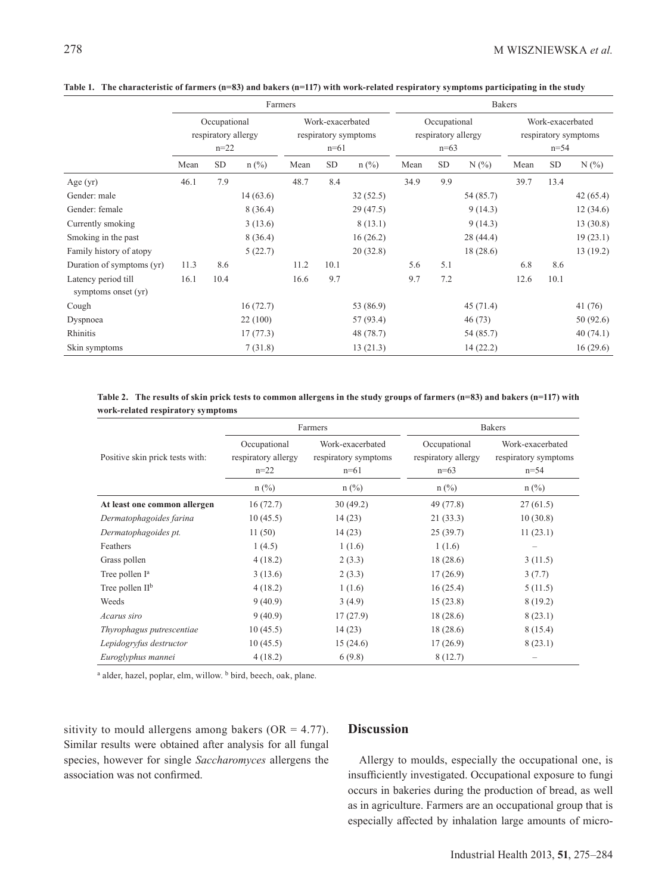|                                            | Farmers                                         |      |                                                    |      |           | <b>Bakers</b>                                 |      |            |                                                      |      |      |          |
|--------------------------------------------|-------------------------------------------------|------|----------------------------------------------------|------|-----------|-----------------------------------------------|------|------------|------------------------------------------------------|------|------|----------|
|                                            | Occupational<br>respiratory allergy<br>$n = 22$ |      | Work-exacerbated<br>respiratory symptoms<br>$n=61$ |      |           | Occupational<br>respiratory allergy<br>$n=63$ |      |            | Work-exacerbated<br>respiratory symptoms<br>$n = 54$ |      |      |          |
|                                            | Mean                                            | SD   | $n$ (%)                                            | Mean | <b>SD</b> | $n$ (%)                                       | Mean | ${\rm SD}$ | N(%                                                  | Mean | SD   | N(%      |
| Age $(yr)$                                 | 46.1                                            | 7.9  |                                                    | 48.7 | 8.4       |                                               | 34.9 | 9.9        |                                                      | 39.7 | 13.4 |          |
| Gender: male                               |                                                 |      | 14(63.6)                                           |      |           | 32(52.5)                                      |      |            | 54 (85.7)                                            |      |      | 42(65.4) |
| Gender: female                             |                                                 |      | 8(36.4)                                            |      |           | 29(47.5)                                      |      |            | 9(14.3)                                              |      |      | 12(34.6) |
| Currently smoking                          |                                                 |      | 3(13.6)                                            |      |           | 8(13.1)                                       |      |            | 9(14.3)                                              |      |      | 13(30.8) |
| Smoking in the past                        |                                                 |      | 8(36.4)                                            |      |           | 16(26.2)                                      |      |            | 28(44.4)                                             |      |      | 19(23.1) |
| Family history of atopy                    |                                                 |      | 5(22.7)                                            |      |           | 20(32.8)                                      |      |            | 18(28.6)                                             |      |      | 13(19.2) |
| Duration of symptoms (yr)                  | 11.3                                            | 8.6  |                                                    | 11.2 | 10.1      |                                               | 5.6  | 5.1        |                                                      | 6.8  | 8.6  |          |
| Latency period till<br>symptoms onset (yr) | 16.1                                            | 10.4 |                                                    | 16.6 | 9.7       |                                               | 9.7  | 7.2        |                                                      | 12.6 | 10.1 |          |
| Cough                                      |                                                 |      | 16(72.7)                                           |      |           | 53 (86.9)                                     |      |            | 45(71.4)                                             |      |      | 41(76)   |
| Dyspnoea                                   |                                                 |      | 22(100)                                            |      |           | 57 (93.4)                                     |      |            | 46(73)                                               |      |      | 50(92.6) |
| Rhinitis                                   |                                                 |      | 17(77.3)                                           |      |           | 48 (78.7)                                     |      |            | 54 (85.7)                                            |      |      | 40(74.1) |
| Skin symptoms                              |                                                 |      | 7(31.8)                                            |      |           | 13(21.3)                                      |      |            | 14(22.2)                                             |      |      | 16(29.6) |

**Table 1. The characteristic of farmers (n=83) and bakers (n=117) with work-related respiratory symptoms participating in the study**

**Table 2. The results of skin prick tests to common allergens in the study groups of farmers (n=83) and bakers (n=117) with work-related respiratory symptoms**

|                                 |                                               | Farmers                                            | <b>Bakers</b>                                 |                                                                 |  |  |
|---------------------------------|-----------------------------------------------|----------------------------------------------------|-----------------------------------------------|-----------------------------------------------------------------|--|--|
| Positive skin prick tests with: | Occupational<br>respiratory allergy<br>$n=22$ | Work-exacerbated<br>respiratory symptoms<br>$n=61$ | Occupational<br>respiratory allergy<br>$n=63$ | Work-exacerbated<br>respiratory symptoms<br>$n = 54$<br>$n$ (%) |  |  |
|                                 | $n$ (%)                                       | $n$ (%)                                            | $n$ (%)                                       |                                                                 |  |  |
| At least one common allergen    | 16(72.7)                                      | 30(49.2)                                           | 49 (77.8)                                     | 27(61.5)                                                        |  |  |
| Dermatophagoides farina         | 10(45.5)                                      | 14(23)                                             | 21(33.3)                                      | 10(30.8)                                                        |  |  |
| Dermatophagoides pt.            | 11(50)                                        | 14(23)                                             | 25(39.7)                                      | 11(23.1)                                                        |  |  |
| Feathers                        | 1(4.5)                                        | 1(1.6)                                             | 1(1.6)                                        |                                                                 |  |  |
| Grass pollen                    | 4(18.2)                                       | 2(3.3)                                             | 18(28.6)                                      | 3(11.5)                                                         |  |  |
| Tree pollen I <sup>a</sup>      | 3(13.6)                                       | 2(3.3)                                             | 17(26.9)                                      | 3(7.7)                                                          |  |  |
| Tree pollen $II^b$              | 4(18.2)                                       | 1(1.6)                                             | 16(25.4)                                      | 5(11.5)                                                         |  |  |
| Weeds                           | 9(40.9)                                       | 3(4.9)                                             | 15(23.8)                                      | 8(19.2)                                                         |  |  |
| Acarus siro                     | 9(40.9)                                       | 17(27.9)                                           | 18(28.6)                                      | 8(23.1)                                                         |  |  |
| Thyrophagus putrescentiae       | 10(45.5)                                      | 14(23)                                             | 18(28.6)                                      | 8(15.4)                                                         |  |  |
| Lepidogryfus destructor         | 10(45.5)                                      | 15(24.6)                                           | 17(26.9)                                      | 8(23.1)                                                         |  |  |
| Euroglyphus mannei              | 4(18.2)                                       | 6(9.8)                                             | 8(12.7)                                       | -                                                               |  |  |

<sup>a</sup> alder, hazel, poplar, elm, willow. <sup>b</sup> bird, beech, oak, plane.

sitivity to mould allergens among bakers ( $OR = 4.77$ ). Similar results were obtained after analysis for all fungal species, however for single *Saccharomyces* allergens the association was not confirmed.

# **Discussion**

Allergy to moulds, especially the occupational one, is insufficiently investigated. Occupational exposure to fungi occurs in bakeries during the production of bread, as well as in agriculture. Farmers are an occupational group that is especially affected by inhalation large amounts of micro-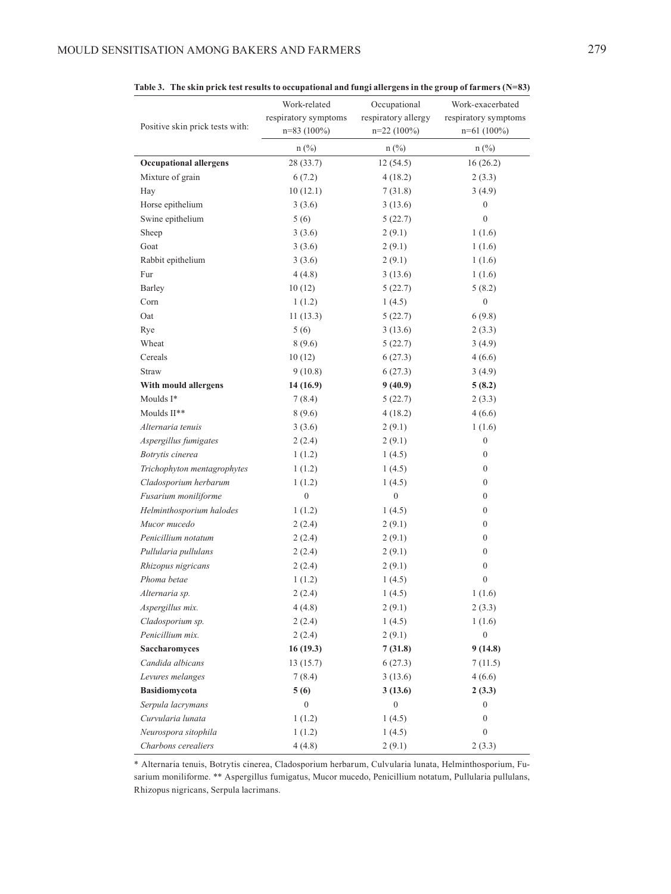|                                 | Work-related<br>respiratory symptoms | Occupational<br>respiratory allergy | Work-exacerbated<br>respiratory symptoms<br>$n=61(100\%)$<br>$n$ (%) |  |  |
|---------------------------------|--------------------------------------|-------------------------------------|----------------------------------------------------------------------|--|--|
| Positive skin prick tests with: | $n=83(100\%)$                        | $n=22(100\%)$                       |                                                                      |  |  |
|                                 | $n$ (%)                              | $n$ (%)                             |                                                                      |  |  |
| <b>Occupational allergens</b>   | 28(33.7)                             | 12(54.5)                            | 16(26.2)                                                             |  |  |
| Mixture of grain                | 6(7.2)                               | 4(18.2)                             | 2(3.3)                                                               |  |  |
| Hay                             | 10(12.1)                             | 7(31.8)                             | 3(4.9)                                                               |  |  |
| Horse epithelium                | 3(3.6)                               | 3(13.6)                             | $\boldsymbol{0}$                                                     |  |  |
| Swine epithelium                | 5(6)                                 | 5(22.7)                             | $\mathbf{0}$                                                         |  |  |
| Sheep                           | 3(3.6)                               | 2(9.1)                              | 1(1.6)                                                               |  |  |
| Goat                            | 3(3.6)                               | 2(9.1)                              | 1(1.6)                                                               |  |  |
| Rabbit epithelium               | 3(3.6)                               | 2(9.1)                              | 1(1.6)                                                               |  |  |
| Fur                             | 4(4.8)                               | 3(13.6)                             | 1(1.6)                                                               |  |  |
| Barley                          | 10(12)                               | 5(22.7)                             | 5(8.2)                                                               |  |  |
| Corn                            | 1(1.2)                               | 1(4.5)                              | $\boldsymbol{0}$                                                     |  |  |
| Oat                             | 11(13.3)                             | 5(22.7)                             | 6(9.8)                                                               |  |  |
| Rye                             | 5(6)                                 | 3(13.6)                             | 2(3.3)                                                               |  |  |
| Wheat                           | 8(9.6)                               | 5(22.7)                             | 3(4.9)                                                               |  |  |
| Cereals                         | 10(12)                               | 6(27.3)                             | 4(6.6)                                                               |  |  |
| <b>Straw</b>                    | 9(10.8)                              | 6(27.3)                             | 3(4.9)                                                               |  |  |
| With mould allergens            | 14 (16.9)                            | 9(40.9)                             | 5(8.2)                                                               |  |  |
| Moulds I*                       | 7(8.4)                               | 5(22.7)                             | 2(3.3)                                                               |  |  |
| Moulds II**                     | 8(9.6)                               | 4(18.2)                             | 4(6.6)                                                               |  |  |
| Alternaria tenuis               | 3(3.6)                               | 2(9.1)                              | 1(1.6)                                                               |  |  |
| Aspergillus fumigates           | 2(2.4)                               | 2(9.1)                              | $\boldsymbol{0}$                                                     |  |  |
| Botrytis cinerea                | 1(1.2)                               | 1(4.5)                              | $\boldsymbol{0}$                                                     |  |  |
| Trichophyton mentagrophytes     | 1(1.2)                               | 1(4.5)                              | $\boldsymbol{0}$                                                     |  |  |
| Cladosporium herbarum           | 1(1.2)                               | 1(4.5)                              | $\boldsymbol{0}$                                                     |  |  |
| Fusarium moniliforme            | $\boldsymbol{0}$                     | $\boldsymbol{0}$                    | $\boldsymbol{0}$                                                     |  |  |
| Helminthosporium halodes        | 1(1.2)                               | 1(4.5)                              | $\boldsymbol{0}$                                                     |  |  |
| Mucor mucedo                    | 2(2.4)                               | 2(9.1)                              | $\boldsymbol{0}$                                                     |  |  |
| Penicillium notatum             | 2(2.4)                               | 2(9.1)                              | $\boldsymbol{0}$                                                     |  |  |
| Pullularia pullulans            | 2(2.4)                               | 2(9.1)                              | $\boldsymbol{0}$                                                     |  |  |
| Rhizopus nigricans              | 2(2.4)                               | 2(9.1)                              | $\boldsymbol{0}$                                                     |  |  |
| Phoma betae                     | 1(1.2)                               | 1(4.5)                              | $\boldsymbol{0}$                                                     |  |  |
| Alternaria sp.                  | 2(2.4)                               | 1(4.5)                              | 1(1.6)                                                               |  |  |
| Aspergillus mix.                | 4(4.8)                               | 2(9.1)                              | 2(3.3)                                                               |  |  |
| Cladosporium sp.                | 2(2.4)                               | 1(4.5)                              | 1(1.6)                                                               |  |  |
| Penicillium mix.                | 2(2.4)                               | 2(9.1)                              | $\boldsymbol{0}$                                                     |  |  |
| Saccharomyces                   | 16(19.3)                             | 7(31.8)                             | 9(14.8)                                                              |  |  |
| Candida albicans                | 13(15.7)                             | 6(27.3)                             | 7(11.5)                                                              |  |  |
| Levures melanges                | 7(8.4)                               | 3(13.6)                             | 4(6.6)                                                               |  |  |
| Basidiomycota                   | 5(6)                                 | 3(13.6)                             | 2(3.3)                                                               |  |  |
| Serpula lacrymans               | $\boldsymbol{0}$                     | $\boldsymbol{0}$                    | $\boldsymbol{0}$                                                     |  |  |
| Curvularia lunata               | 1(1.2)                               | 1(4.5)                              | $\boldsymbol{0}$                                                     |  |  |
| Neurospora sitophila            | 1(1.2)                               | 1(4.5)                              | $\boldsymbol{0}$                                                     |  |  |
| Charbons cerealiers             | 4(4.8)                               | 2(9.1)                              | 2(3.3)                                                               |  |  |

**Table 3. The skin prick test results to occupational and fungi allergens in the group of farmers (N=83)**

\* Alternaria tenuis, Botrytis cinerea, Cladosporium herbarum, Culvularia lunata, Helminthosporium, Fusarium moniliforme. \*\* Aspergillus fumigatus, Mucor mucedo, Penicillium notatum, Pullularia pullulans, Rhizopus nigricans, Serpula lacrimans.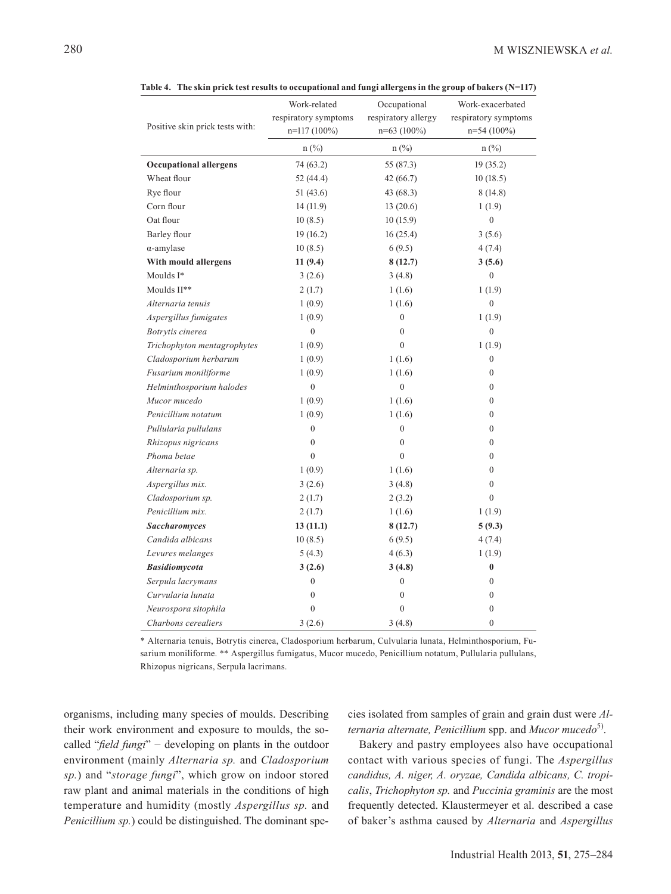| Positive skin prick tests with: | Work-related<br>respiratory symptoms<br>n=117 (100%) | Occupational<br>respiratory allergy<br>$n=63(100\%)$ | Work-exacerbated<br>respiratory symptoms<br>n=54 (100%) |  |  |
|---------------------------------|------------------------------------------------------|------------------------------------------------------|---------------------------------------------------------|--|--|
|                                 | $n$ (%)                                              | $n$ (%)                                              | $n$ (%)                                                 |  |  |
| <b>Occupational allergens</b>   | 74 (63.2)                                            | 55 (87.3)                                            | 19(35.2)                                                |  |  |
| Wheat flour                     | 52 (44.4)                                            | 42 (66.7)                                            | 10(18.5)                                                |  |  |
| Rye flour                       | 51 (43.6)                                            | 43 (68.3)                                            | 8(14.8)                                                 |  |  |
| Corn flour                      | 14(11.9)                                             | 13(20.6)                                             | 1(1.9)                                                  |  |  |
| Oat flour                       | 10(8.5)                                              | 10(15.9)                                             | $\boldsymbol{0}$                                        |  |  |
| Barley flour                    | 19(16.2)                                             | 16(25.4)                                             | 3(5.6)                                                  |  |  |
| $\alpha$ -amylase               | 10(8.5)                                              | 6(9.5)                                               | 4(7.4)                                                  |  |  |
| With mould allergens            | 11(9.4)                                              | 8(12.7)                                              | 3(5.6)                                                  |  |  |
| Moulds I*                       | 3(2.6)                                               | 3(4.8)                                               | $\theta$                                                |  |  |
| Moulds II**                     | 2(1.7)                                               | 1(1.6)                                               | 1(1.9)                                                  |  |  |
| Alternaria tenuis               | 1(0.9)                                               | 1(1.6)                                               | $\mathbf{0}$                                            |  |  |
| Aspergillus fumigates           | 1(0.9)                                               | $\boldsymbol{0}$                                     | 1(1.9)                                                  |  |  |
| Botrytis cinerea                | $\boldsymbol{0}$                                     | $\boldsymbol{0}$                                     | $\boldsymbol{0}$                                        |  |  |
| Trichophyton mentagrophytes     | 1(0.9)                                               | $\overline{0}$                                       | 1(1.9)                                                  |  |  |
| Cladosporium herbarum           | 1(0.9)                                               | 1(1.6)                                               | $\boldsymbol{0}$                                        |  |  |
| Fusarium moniliforme            | 1(0.9)                                               | 1(1.6)                                               | $\theta$                                                |  |  |
| Helminthosporium halodes        | $\boldsymbol{0}$                                     | $\overline{0}$                                       | $\mathbf{0}$                                            |  |  |
| Mucor mucedo                    | 1(0.9)                                               | 1(1.6)                                               | $\mathbf{0}$                                            |  |  |
| Penicillium notatum             | 1(0.9)                                               | 1(1.6)                                               | $\mathbf{0}$                                            |  |  |
| Pullularia pullulans            | $\boldsymbol{0}$                                     | $\boldsymbol{0}$                                     | $\mathbf{0}$                                            |  |  |
| Rhizopus nigricans              | $\mathbf{0}$                                         | $\overline{0}$                                       | $\boldsymbol{0}$                                        |  |  |
| Phoma betae                     | $\mathbf{0}$                                         | $\overline{0}$                                       | $\boldsymbol{0}$                                        |  |  |
| Alternaria sp.                  | 1(0.9)                                               | 1(1.6)                                               | $\boldsymbol{0}$                                        |  |  |
| Aspergillus mix.                | 3(2.6)                                               | 3(4.8)                                               | $\mathbf{0}$                                            |  |  |
| Cladosporium sp.                | 2(1.7)                                               | 2(3.2)                                               | $\overline{0}$                                          |  |  |
| Penicillium mix.                | 2(1.7)                                               | 1(1.6)                                               | 1(1.9)                                                  |  |  |
| <b>Saccharomyces</b>            | 13(11.1)                                             | 8(12.7)                                              | 5(9.3)                                                  |  |  |
| Candida albicans                | 10(8.5)                                              | 6(9.5)                                               | 4 (7.4)                                                 |  |  |
| Levures melanges                | 5(4.3)                                               | 4(6.3)                                               | 1(1.9)                                                  |  |  |
| <b>Basidiomycota</b>            | 3(2.6)                                               | 3(4.8)                                               | $\bf{0}$                                                |  |  |
| Serpula lacrymans               | $\boldsymbol{0}$                                     | $\boldsymbol{0}$                                     | $\mathbf{0}$                                            |  |  |
| Curvularia lunata               | $\boldsymbol{0}$                                     | $\boldsymbol{0}$                                     | $\boldsymbol{0}$                                        |  |  |
| Neurospora sitophila            | $\mathbf{0}$                                         | $\overline{0}$                                       | $\boldsymbol{0}$                                        |  |  |
| Charbons cerealiers             | 3(2.6)                                               | 3(4.8)                                               | $\overline{0}$                                          |  |  |

**Table 4. The skin prick test results to occupational and fungi allergens in the group of bakers (N=117)**

\* Alternaria tenuis, Botrytis cinerea, Cladosporium herbarum, Culvularia lunata, Helminthosporium, Fusarium moniliforme. \*\* Aspergillus fumigatus, Mucor mucedo, Penicillium notatum, Pullularia pullulans, Rhizopus nigricans, Serpula lacrimans.

organisms, including many species of moulds. Describing their work environment and exposure to moulds, the socalled "*field fungi*" − developing on plants in the outdoor environment (mainly *Alternaria sp.* and *Cladosporium sp.*) and "*storage fungi*", which grow on indoor stored raw plant and animal materials in the conditions of high temperature and humidity (mostly *Aspergillus sp.* and *Penicillium sp.*) could be distinguished. The dominant species isolated from samples of grain and grain dust were *Alternaria alternate, Penicillium* spp. and *Mucor mucedo*5).

Bakery and pastry employees also have occupational contact with various species of fungi. The *Aspergillus candidus, A. niger, A. oryzae, Candida albicans, C. tropicalis*, *Trichophyton sp.* and *Puccinia graminis* are the most frequently detected. Klaustermeyer et al. described a case of baker's asthma caused by *Alternaria* and *Aspergillus*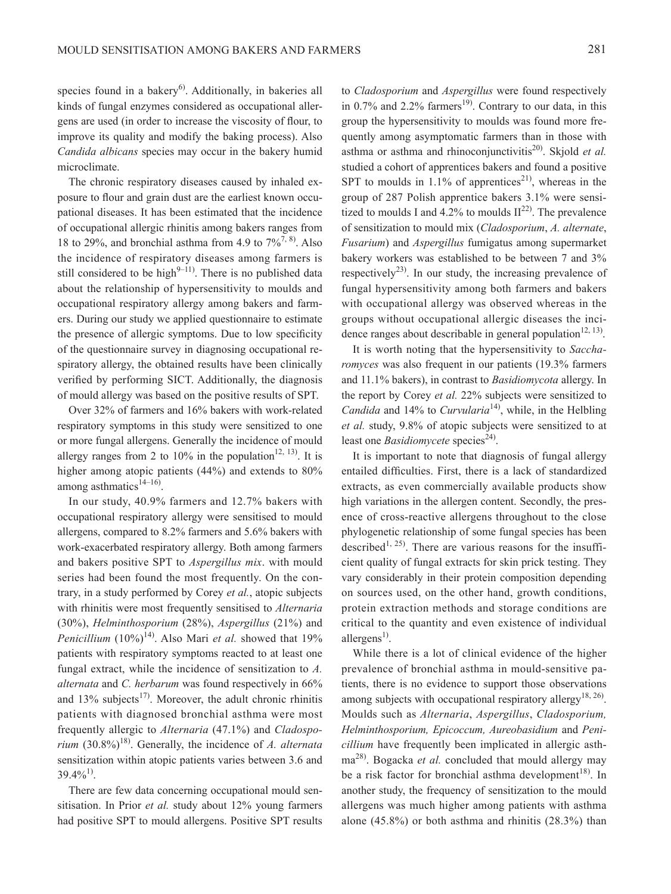species found in a bakery<sup>6)</sup>. Additionally, in bakeries all kinds of fungal enzymes considered as occupational allergens are used (in order to increase the viscosity of flour, to improve its quality and modify the baking process). Also *Candida albicans* species may occur in the bakery humid microclimate.

The chronic respiratory diseases caused by inhaled exposure to flour and grain dust are the earliest known occupational diseases. It has been estimated that the incidence of occupational allergic rhinitis among bakers ranges from 18 to 29%, and bronchial asthma from 4.9 to  $7\frac{6}{7}$ , 8). Also the incidence of respiratory diseases among farmers is still considered to be high $9-11$ ). There is no published data about the relationship of hypersensitivity to moulds and occupational respiratory allergy among bakers and farmers. During our study we applied questionnaire to estimate the presence of allergic symptoms. Due to low specificity of the questionnaire survey in diagnosing occupational respiratory allergy, the obtained results have been clinically verified by performing SICT. Additionally, the diagnosis of mould allergy was based on the positive results of SPT.

Over 32% of farmers and 16% bakers with work-related respiratory symptoms in this study were sensitized to one or more fungal allergens. Generally the incidence of mould allergy ranges from 2 to 10% in the population<sup>12, 13)</sup>. It is higher among atopic patients (44%) and extends to 80% among asthmatics<sup>14–16)</sup>.

In our study, 40.9% farmers and 12.7% bakers with occupational respiratory allergy were sensitised to mould allergens, compared to 8.2% farmers and 5.6% bakers with work-exacerbated respiratory allergy. Both among farmers and bakers positive SPT to *Aspergillus mix*. with mould series had been found the most frequently. On the contrary, in a study performed by Corey *et al.*, atopic subjects with rhinitis were most frequently sensitised to *Alternaria* (30%), *Helminthosporium* (28%), *Aspergillus* (21%) and *Penicillium* (10%)<sup>14)</sup>. Also Mari *et al.* showed that 19% patients with respiratory symptoms reacted to at least one fungal extract, while the incidence of sensitization to *A. alternata* and *C. herbarum* was found respectively in 66% and  $13\%$  subjects<sup>17)</sup>. Moreover, the adult chronic rhinitis patients with diagnosed bronchial asthma were most frequently allergic to *Alternaria* (47.1%) and *Cladosporium* (30.8%)<sup>18)</sup>. Generally, the incidence of *A. alternata* sensitization within atopic patients varies between 3.6 and  $39.4\%^{1}$ .

There are few data concerning occupational mould sensitisation. In Prior *et al.* study about 12% young farmers had positive SPT to mould allergens. Positive SPT results

to *Cladosporium* and *Aspergillus* were found respectively in  $0.7\%$  and  $2.2\%$  farmers<sup>19)</sup>. Contrary to our data, in this group the hypersensitivity to moulds was found more frequently among asymptomatic farmers than in those with asthma or asthma and rhinoconjunctivitis<sup>20)</sup>. Skjold *et al.* studied a cohort of apprentices bakers and found a positive SPT to moulds in  $1.1\%$  of apprentices<sup>21</sup>, whereas in the group of 287 Polish apprentice bakers 3.1% were sensitized to moulds I and  $4.2\%$  to moulds  $II^{22}$ . The prevalence of sensitization to mould mix (*Cladosporium*, *A. alternate*, *Fusarium*) and *Aspergillus* fumigatus among supermarket bakery workers was established to be between 7 and 3% respectively<sup>23)</sup>. In our study, the increasing prevalence of fungal hypersensitivity among both farmers and bakers with occupational allergy was observed whereas in the groups without occupational allergic diseases the incidence ranges about describable in general population<sup>12, 13)</sup>.

It is worth noting that the hypersensitivity to *Saccharomyces* was also frequent in our patients (19.3% farmers and 11.1% bakers), in contrast to *Basidiomycota* allergy. In the report by Corey *et al.* 22% subjects were sensitized to *Candida* and 14% to *Curvularia*<sup>14</sup>, while, in the Helbling *et al.* study, 9.8% of atopic subjects were sensitized to at least one *Basidiomycete* species<sup>24)</sup>.

It is important to note that diagnosis of fungal allergy entailed difficulties. First, there is a lack of standardized extracts, as even commercially available products show high variations in the allergen content. Secondly, the presence of cross-reactive allergens throughout to the close phylogenetic relationship of some fungal species has been described<sup>1, 25)</sup>. There are various reasons for the insufficient quality of fungal extracts for skin prick testing. They vary considerably in their protein composition depending on sources used, on the other hand, growth conditions, protein extraction methods and storage conditions are critical to the quantity and even existence of individual allergens<sup>1)</sup>.

While there is a lot of clinical evidence of the higher prevalence of bronchial asthma in mould-sensitive patients, there is no evidence to support those observations among subjects with occupational respiratory allergy<sup>18, 26</sup>. Moulds such as *Alternaria*, *Aspergillus*, *Cladosporium, Helminthosporium, Epicoccum, Aureobasidium* and *Penicillium* have frequently been implicated in allergic asthma28). Bogacka *et al.* concluded that mould allergy may be a risk factor for bronchial asthma development<sup>18)</sup>. In another study, the frequency of sensitization to the mould allergens was much higher among patients with asthma alone (45.8%) or both asthma and rhinitis (28.3%) than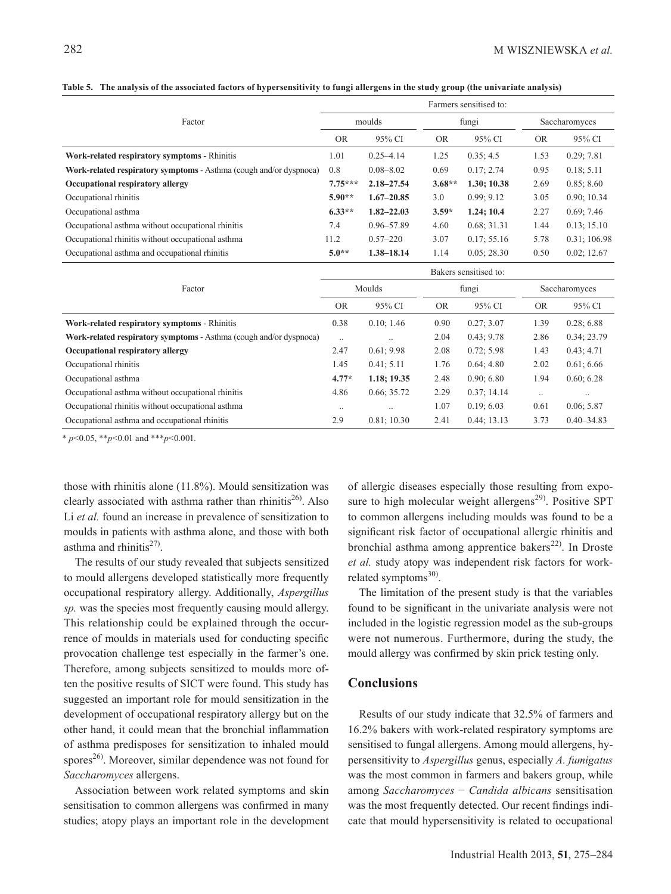| Factor                                                             |                       | Farmers sensitised to: |           |             |               |                |  |  |  |
|--------------------------------------------------------------------|-----------------------|------------------------|-----------|-------------|---------------|----------------|--|--|--|
|                                                                    |                       | moulds                 | fungi     |             | Saccharomyces |                |  |  |  |
|                                                                    | <b>OR</b>             | 95% CI                 | <b>OR</b> | 95% CI      | <b>OR</b>     | 95% CI         |  |  |  |
| Work-related respiratory symptoms - Rhinitis                       | 1.01                  | $0.25 - 4.14$          | 1.25      | 0.35; 4.5   | 1.53          | 0.29; 7.81     |  |  |  |
| Work-related respiratory symptoms - Asthma (cough and/or dyspnoea) | 0.8                   | $0.08 - 8.02$          | 0.69      | 0.17; 2.74  | 0.95          | 0.18; 5.11     |  |  |  |
| Occupational respiratory allergy                                   | $7.75***$             | $2.18 - 27.54$         | $3.68**$  | 1.30; 10.38 | 2.69          | 0.85; 8.60     |  |  |  |
| Occupational rhinitis                                              | $5.90**$              | $1.67 - 20.85$         | 3.0       | 0.99; 9.12  | 3.05          | 0.90; 10.34    |  |  |  |
| Occupational asthma                                                | $6.33**$              | $1.82 - 22.03$         | $3.59*$   | 1.24; 10.4  | 2.27          | 0.69; 7.46     |  |  |  |
| Occupational asthma without occupational rhinitis                  | 7.4                   | 0.96-57.89             | 4.60      | 0.68; 31.31 | 1.44          | 0.13; 15.10    |  |  |  |
| Occupational rhinitis without occupational asthma                  | 11.2                  | $0.57 - 220$           | 3.07      | 0.17; 55.16 | 5.78          | 0.31; 106.98   |  |  |  |
| Occupational asthma and occupational rhinitis                      | $5.0**$               | 1.38-18.14             | 1.14      | 0.05; 28.30 | 0.50          | 0.02; 12.67    |  |  |  |
|                                                                    | Bakers sensitised to: |                        |           |             |               |                |  |  |  |
| Factor                                                             |                       | Moulds                 |           | fungi       |               | Saccharomyces  |  |  |  |
|                                                                    | <b>OR</b>             | 95% CI                 | <b>OR</b> | 95% CI      | <b>OR</b>     | 95% CI         |  |  |  |
| Work-related respiratory symptoms - Rhinitis                       | 0.38                  | 0.10; 1.46             | 0.90      | 0.27; 3.07  | 1.39          | 0.28; 6.88     |  |  |  |
| Work-related respiratory symptoms - Asthma (cough and/or dyspnoea) | $\ddots$              |                        | 2.04      | 0.43:9.78   | 2.86          | 0.34; 23.79    |  |  |  |
| Occupational respiratory allergy                                   | 2.47                  | 0.61; 9.98             | 2.08      | 0.72; 5.98  | 1.43          | 0.43; 4.71     |  |  |  |
| Occupational rhinitis                                              | 1.45                  | 0.41; 5.11             | 1.76      | 0.64; 4.80  | 2.02          | 0.61; 6.66     |  |  |  |
| Occupational asthma                                                | $4.77*$               | 1.18; 19.35            | 2.48      | 0.90; 6.80  | 1.94          | 0.60; 6.28     |  |  |  |
| Occupational asthma without occupational rhinitis                  | 4.86                  | 0.66; 35.72            | 2.29      | 0.37; 14.14 | $\ddots$      |                |  |  |  |
| Occupational rhinitis without occupational asthma                  | $\ddotsc$             |                        | 1.07      | 0.19; 6.03  | 0.61          | 0.06; 5.87     |  |  |  |
| Occupational asthma and occupational rhinitis                      | 2.9                   | 0.81; 10.30            | 2.41      | 0.44; 13.13 | 3.73          | $0.40 - 34.83$ |  |  |  |

**Table 5. The analysis of the associated factors of hypersensitivity to fungi allergens in the study group (the univariate analysis)**

\* *p*<0.05, \*\**p*<0.01 and \*\*\**p*<0.001.

those with rhinitis alone (11.8%). Mould sensitization was clearly associated with asthma rather than rhinitis<sup>26</sup>. Also Li *et al.* found an increase in prevalence of sensitization to moulds in patients with asthma alone, and those with both asthma and rhinitis $^{27}$ .

The results of our study revealed that subjects sensitized to mould allergens developed statistically more frequently occupational respiratory allergy. Additionally, *Aspergillus sp.* was the species most frequently causing mould allergy. This relationship could be explained through the occurrence of moulds in materials used for conducting specific provocation challenge test especially in the farmer's one. Therefore, among subjects sensitized to moulds more often the positive results of SICT were found. This study has suggested an important role for mould sensitization in the development of occupational respiratory allergy but on the other hand, it could mean that the bronchial inflammation of asthma predisposes for sensitization to inhaled mould spores<sup>26)</sup>. Moreover, similar dependence was not found for *Saccharomyces* allergens.

Association between work related symptoms and skin sensitisation to common allergens was confirmed in many studies; atopy plays an important role in the development of allergic diseases especially those resulting from exposure to high molecular weight allergens<sup>29)</sup>. Positive SPT to common allergens including moulds was found to be a significant risk factor of occupational allergic rhinitis and bronchial asthma among apprentice bakers<sup>22)</sup>. In Droste *et al.* study atopy was independent risk factors for workrelated symptoms $30$ .

The limitation of the present study is that the variables found to be significant in the univariate analysis were not included in the logistic regression model as the sub-groups were not numerous. Furthermore, during the study, the mould allergy was confirmed by skin prick testing only.

# **Conclusions**

Results of our study indicate that 32.5% of farmers and 16.2% bakers with work-related respiratory symptoms are sensitised to fungal allergens. Among mould allergens, hypersensitivity to *Aspergillus* genus, especially *A. fumigatus* was the most common in farmers and bakers group, while among *Saccharomyces* − *Candida albicans* sensitisation was the most frequently detected. Our recent findings indicate that mould hypersensitivity is related to occupational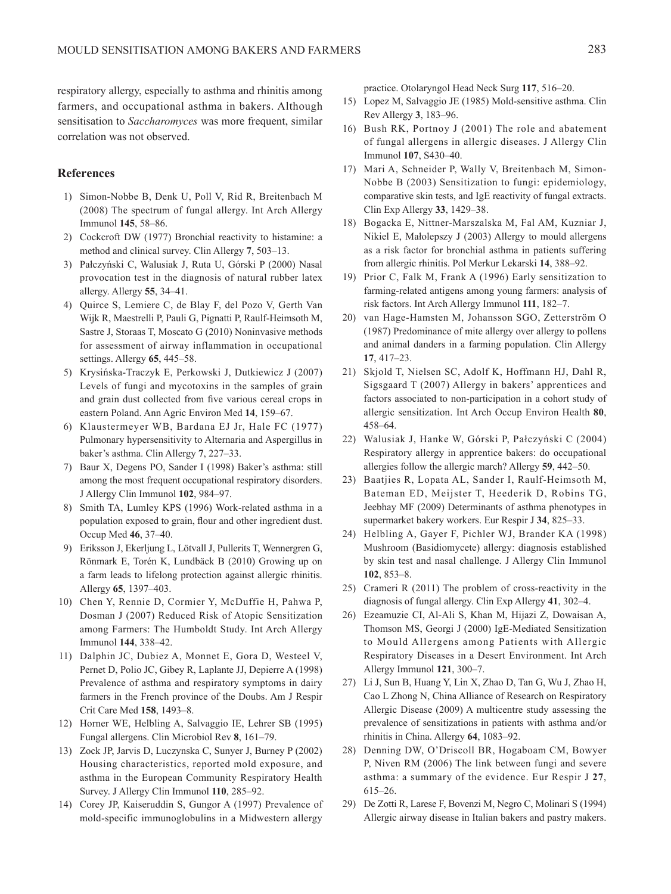respiratory allergy, especially to asthma and rhinitis among farmers, and occupational asthma in bakers. Although sensitisation to *Saccharomyces* was more frequent, similar correlation was not observed.

## **References**

- 1) Simon-Nobbe B, Denk U, Poll V, Rid R, Breitenbach M (2008) The spectrum of fungal allergy. Int Arch Allergy Immunol **145**, 58–86.
- 2) Cockcroft DW (1977) Bronchial reactivity to histamine: a method and clinical survey. Clin Allergy **7**, 503–13.
- 3) Pałczyński C, Walusiak J, Ruta U, Górski P (2000) Nasal provocation test in the diagnosis of natural rubber latex allergy. Allergy **55**, 34–41.
- 4) Quirce S, Lemiere C, de Blay F, del Pozo V, Gerth Van Wijk R, Maestrelli P, Pauli G, Pignatti P, Raulf-Heimsoth M, Sastre J, Storaas T, Moscato G (2010) Noninvasive methods for assessment of airway inflammation in occupational settings. Allergy **65**, 445–58.
- 5) Krysińska-Traczyk E, Perkowski J, Dutkiewicz J (2007) Levels of fungi and mycotoxins in the samples of grain and grain dust collected from five various cereal crops in eastern Poland. Ann Agric Environ Med **14**, 159–67.
- 6) Klaustermeyer WB, Bardana EJ Jr, Hale FC (1977) Pulmonary hypersensitivity to Alternaria and Aspergillus in baker's asthma. Clin Allergy **7**, 227–33.
- 7) Baur X, Degens PO, Sander I (1998) Baker's asthma: still among the most frequent occupational respiratory disorders. J Allergy Clin Immunol **102**, 984–97.
- 8) Smith TA, Lumley KPS (1996) Work-related asthma in a population exposed to grain, flour and other ingredient dust. Occup Med **46**, 37–40.
- 9) Eriksson J, Ekerljung L, Lötvall J, Pullerits T, Wennergren G, Rönmark E, Torén K, Lundbäck B (2010) Growing up on a farm leads to lifelong protection against allergic rhinitis. Allergy **65**, 1397–403.
- 10) Chen Y, Rennie D, Cormier Y, McDuffie H, Pahwa P, Dosman J (2007) Reduced Risk of Atopic Sensitization among Farmers: The Humboldt Study. Int Arch Allergy Immunol **144**, 338–42.
- 11) Dalphin JC, Dubiez A, Monnet E, Gora D, Westeel V, Pernet D, Polio JC, Gibey R, Laplante JJ, Depierre A (1998) Prevalence of asthma and respiratory symptoms in dairy farmers in the French province of the Doubs. Am J Respir Crit Care Med **158**, 1493–8.
- 12) Horner WE, Helbling A, Salvaggio IE, Lehrer SB (1995) Fungal allergens. Clin Microbiol Rev **8**, 161–79.
- 13) Zock JP, Jarvis D, Luczynska C, Sunyer J, Burney P (2002) Housing characteristics, reported mold exposure, and asthma in the European Community Respiratory Health Survey. J Allergy Clin Immunol **110**, 285–92.
- 14) Corey JP, Kaiseruddin S, Gungor A (1997) Prevalence of mold-specific immunoglobulins in a Midwestern allergy

practice. Otolaryngol Head Neck Surg **117**, 516–20.

- 15) Lopez M, Salvaggio JE (1985) Mold-sensitive asthma. Clin Rev Allergy **3**, 183–96.
- 16) Bush RK, Portnoy J (2001) The role and abatement of fungal allergens in allergic diseases. J Allergy Clin Immunol **107**, S430–40.
- 17) Mari A, Schneider P, Wally V, Breitenbach M, Simon-Nobbe B (2003) Sensitization to fungi: epidemiology, comparative skin tests, and IgE reactivity of fungal extracts. Clin Exp Allergy **33**, 1429–38.
- 18) Bogacka E, Nittner-Marszalska M, Fal AM, Kuzniar J, Nikiel E, Małolepszy J (2003) Allergy to mould allergens as a risk factor for bronchial asthma in patients suffering from allergic rhinitis. Pol Merkur Lekarski **14**, 388–92.
- 19) Prior C, Falk M, Frank A (1996) Early sensitization to farming-related antigens among young farmers: analysis of risk factors. Int Arch Allergy Immunol **111**, 182–7.
- 20) van Hage-Hamsten M, Johansson SGO, Zetterström O (1987) Predominance of mite allergy over allergy to pollens and animal danders in a farming population. Clin Allergy **17**, 417–23.
- 21) Skjold T, Nielsen SC, Adolf K, Hoffmann HJ, Dahl R, Sigsgaard T (2007) Allergy in bakers' apprentices and factors associated to non-participation in a cohort study of allergic sensitization. Int Arch Occup Environ Health **80**, 458–64.
- 22) Walusiak J, Hanke W, Górski P, Pałczyński C (2004) Respiratory allergy in apprentice bakers: do occupational allergies follow the allergic march? Allergy **59**, 442–50.
- 23) Baatjies R, Lopata AL, Sander I, Raulf-Heimsoth M, Bateman ED, Meijster T, Heederik D, Robins TG, Jeebhay MF (2009) Determinants of asthma phenotypes in supermarket bakery workers. Eur Respir J **34**, 825–33.
- 24) Helbling A, Gayer F, Pichler WJ, Brander KA (1998) Mushroom (Basidiomycete) allergy: diagnosis established by skin test and nasal challenge. J Allergy Clin Immunol **102**, 853–8.
- 25) Crameri R (2011) The problem of cross-reactivity in the diagnosis of fungal allergy. Clin Exp Allergy **41**, 302–4.
- 26) Ezeamuzie CI, Al-Ali S, Khan M, Hijazi Z, Dowaisan A, Thomson MS, Georgi J (2000) IgE-Mediated Sensitization to Mould Allergens among Patients with Allergic Respiratory Diseases in a Desert Environment. Int Arch Allergy Immunol **121**, 300–7.
- 27) Li J, Sun B, Huang Y, Lin X, Zhao D, Tan G, Wu J, Zhao H, Cao L Zhong N, China Alliance of Research on Respiratory Allergic Disease (2009) A multicentre study assessing the prevalence of sensitizations in patients with asthma and/or rhinitis in China. Allergy **64**, 1083–92.
- 28) Denning DW, O'Driscoll BR, Hogaboam CM, Bowyer P, Niven RM (2006) The link between fungi and severe asthma: a summary of the evidence. Eur Respir J **27**, 615–26.
- 29) De Zotti R, Larese F, Bovenzi M, Negro C, Molinari S (1994) Allergic airway disease in Italian bakers and pastry makers.